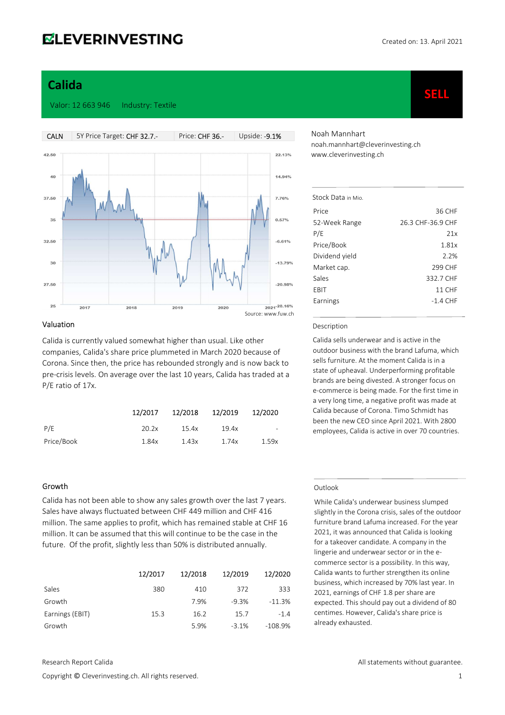SELL

# Calida

#### Valor: 12 663 946 Industry: Textile



#### Valuation

Calida is currently valued somewhat higher than usual. Like other companies, Calida's share price plummeted in March 2020 because of Corona. Since then, the price has rebounded strongly and is now back to pre-crisis levels. On average over the last 10 years, Calida has traded at a P/E ratio of 17x.

|            | 12/2017 | 12/2018 | 12/2019 | 12/2020                  |
|------------|---------|---------|---------|--------------------------|
| P/E        | 20.2x   | 15.4x   | 19.4x   | $\overline{\phantom{a}}$ |
| Price/Book | 1.84x   | 1.43x   | 1.74x   | 1.59x                    |

#### Growth

Calida has not been able to show any sales growth over the last 7 years. Sales have always fluctuated between CHF 449 million and CHF 416 million. The same applies to profit, which has remained stable at CHF 16 million. It can be assumed that this will continue to be the case in the future. Of the profit, slightly less than 50% is distributed annually.

|                 | 12/2017 | 12/2018 | 12/2019 | 12/2020   |
|-----------------|---------|---------|---------|-----------|
| Sales           | 380     | 410     | 372     | 333       |
| Growth          |         | 7.9%    | $-9.3%$ | $-11.3%$  |
| Earnings (EBIT) | 15.3    | 16.2    | 15.7    | $-1.4$    |
| Growth          |         | 5.9%    | $-3.1%$ | $-108.9%$ |

Noah Mannhart noah.mannhart@cleverinvesting.ch www.cleverinvesting.ch

| Stock Data in Mio |                   |
|-------------------|-------------------|
| Price             | 36 CHF            |
| 52-Week Range     | 26.3 CHF-36.9 CHF |
| P/E               | 21x               |
| Price/Book        | 1.81x             |
| Dividend yield    | 2.2%              |
| Market cap.       | 299 CHF           |
| Sales             | 332.7 CHE         |
| FRIT              | 11 CHF            |
| Earnings          | $-1.4$ CHF        |
|                   |                   |

#### Description

Calida sells underwear and is active in the outdoor business with the brand Lafuma, which sells furniture. At the moment Calida is in a state of upheaval. Underperforming profitable brands are being divested. A stronger focus on e-commerce is being made. For the first time in a very long time, a negative profit was made at Calida because of Corona. Timo Schmidt has been the new CEO since April 2021. With 2800 employees, Calida is active in over 70 countries.

#### Outlook

While Calida's underwear business slumped slightly in the Corona crisis, sales of the outdoor furniture brand Lafuma increased. For the year 2021, it was announced that Calida is looking for a takeover candidate. A company in the lingerie and underwear sector or in the ecommerce sector is a possibility. In this way, Calida wants to further strengthen its online business, which increased by 70% last year. In 2021, earnings of CHF 1.8 per share are expected. This should pay out a dividend of 80 centimes. However, Calida's share price is already exhausted.

Copyright © Cleverinvesting.ch. All rights reserved. 1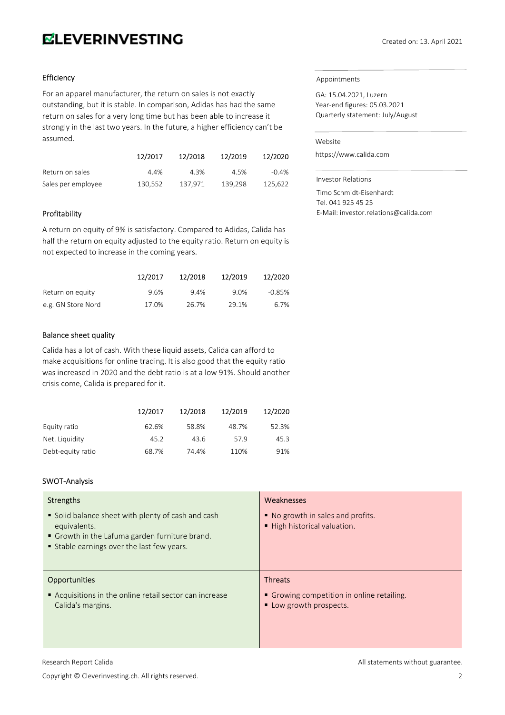# **ELEVERINVESTING**

# Efficiency

For an apparel manufacturer, the return on sales is not exactly outstanding, but it is stable. In comparison, Adidas has had the same return on sales for a very long time but has been able to increase it strongly in the last two years. In the future, a higher efficiency can't be assumed.

|                    | 12/2017 | 12/2018 | 12/2019 | 12/2020  |
|--------------------|---------|---------|---------|----------|
| Return on sales    | 4.4%    | 4.3%    | 4.5%    | $-0.4\%$ |
| Sales per employee | 130.552 | 137.971 | 139.298 | 125.622  |

# Profitability

A return on equity of 9% is satisfactory. Compared to Adidas, Calida has half the return on equity adjusted to the equity ratio. Return on equity is not expected to increase in the coming years.

|                    | 12/2017 | 12/2018 | 12/2019 | 12/2020  |
|--------------------|---------|---------|---------|----------|
| Return on equity   | 9.6%    | 9.4%    | 9.0%    | $-0.85%$ |
| e.g. GN Store Nord | 17.0%   | 26.7%   | 29.1%   | 6.7%     |

# Balance sheet quality

Calida has a lot of cash. With these liquid assets, Calida can afford to make acquisitions for online trading. It is also good that the equity ratio was increased in 2020 and the debt ratio is at a low 91%. Should another crisis come, Calida is prepared for it.

|                   | 12/2017 | 12/2018 | 12/2019 | 12/2020 |
|-------------------|---------|---------|---------|---------|
| Equity ratio      | 62.6%   | 58.8%   | 48.7%   | 52.3%   |
| Net. Liquidity    | 45.2    | 43.6    | 57.9    | 45.3    |
| Debt-equity ratio | 68.7%   | 74.4%   | 110%    | 91%     |

# SWOT-Analysis

| Strengths                                                                                                                                                      | Weaknesses                                                        |
|----------------------------------------------------------------------------------------------------------------------------------------------------------------|-------------------------------------------------------------------|
| • Solid balance sheet with plenty of cash and cash<br>equivalents.<br>Growth in the Lafuma garden furniture brand.<br>Stable earnings over the last few years. | ■ No growth in sales and profits.<br>■ High historical valuation. |
| <b>Opportunities</b>                                                                                                                                           | <b>Threats</b>                                                    |
|                                                                                                                                                                |                                                                   |

GA: 15.04.2021, Luzern Year-end figures: 05.03.2021 Quarterly statement: July/August

#### Website

https://www.calida.com

Investor Relations

Timo Schmidt-Eisenhardt Tel. 041 925 45 25 E-Mail: investor.relations@calida.com